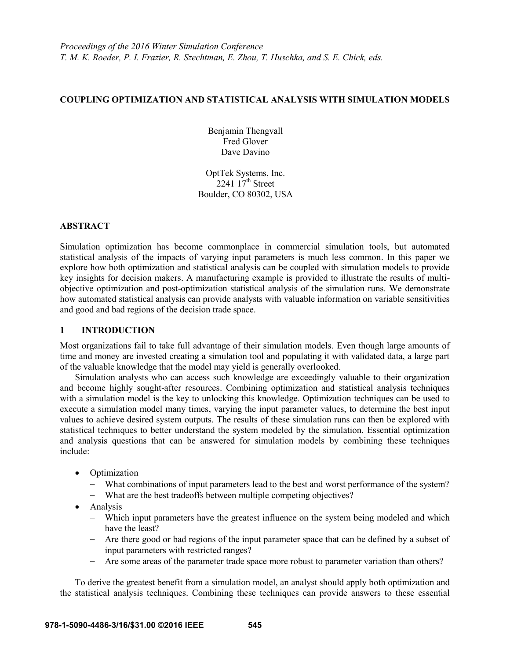## **COUPLING OPTIMIZATION AND STATISTICAL ANALYSIS WITH SIMULATION MODELS**

Benjamin Thengvall Fred Glover Dave Davino

OptTek Systems, Inc. 2241  $17<sup>th</sup>$  Street Boulder, CO 80302, USA

### **ABSTRACT**

Simulation optimization has become commonplace in commercial simulation tools, but automated statistical analysis of the impacts of varying input parameters is much less common. In this paper we explore how both optimization and statistical analysis can be coupled with simulation models to provide key insights for decision makers. A manufacturing example is provided to illustrate the results of multiobjective optimization and post-optimization statistical analysis of the simulation runs. We demonstrate how automated statistical analysis can provide analysts with valuable information on variable sensitivities and good and bad regions of the decision trade space.

# **1 INTRODUCTION**

Most organizations fail to take full advantage of their simulation models. Even though large amounts of time and money are invested creating a simulation tool and populating it with validated data, a large part of the valuable knowledge that the model may yield is generally overlooked.

Simulation analysts who can access such knowledge are exceedingly valuable to their organization and become highly sought-after resources. Combining optimization and statistical analysis techniques with a simulation model is the key to unlocking this knowledge. Optimization techniques can be used to execute a simulation model many times, varying the input parameter values, to determine the best input values to achieve desired system outputs. The results of these simulation runs can then be explored with statistical techniques to better understand the system modeled by the simulation. Essential optimization and analysis questions that can be answered for simulation models by combining these techniques include:

- Optimization
	- What combinations of input parameters lead to the best and worst performance of the system?
	- What are the best tradeoffs between multiple competing objectives?
- Analysis
	- Which input parameters have the greatest influence on the system being modeled and which have the least?
	- Are there good or bad regions of the input parameter space that can be defined by a subset of input parameters with restricted ranges?
	- Are some areas of the parameter trade space more robust to parameter variation than others?

To derive the greatest benefit from a simulation model, an analyst should apply both optimization and the statistical analysis techniques. Combining these techniques can provide answers to these essential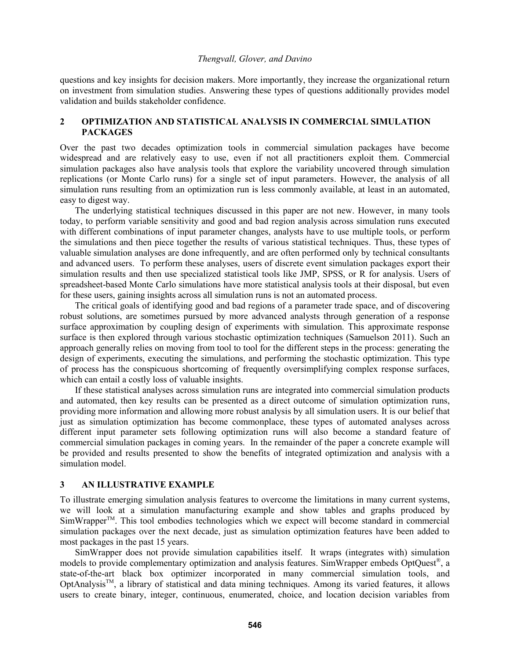questions and key insights for decision makers. More importantly, they increase the organizational return on investment from simulation studies. Answering these types of questions additionally provides model validation and builds stakeholder confidence.

## **2 OPTIMIZATION AND STATISTICAL ANALYSIS IN COMMERCIAL SIMULATION PACKAGES**

Over the past two decades optimization tools in commercial simulation packages have become widespread and are relatively easy to use, even if not all practitioners exploit them. Commercial simulation packages also have analysis tools that explore the variability uncovered through simulation replications (or Monte Carlo runs) for a single set of input parameters. However, the analysis of all simulation runs resulting from an optimization run is less commonly available, at least in an automated, easy to digest way.

The underlying statistical techniques discussed in this paper are not new. However, in many tools today, to perform variable sensitivity and good and bad region analysis across simulation runs executed with different combinations of input parameter changes, analysts have to use multiple tools, or perform the simulations and then piece together the results of various statistical techniques. Thus, these types of valuable simulation analyses are done infrequently, and are often performed only by technical consultants and advanced users. To perform these analyses, users of discrete event simulation packages export their simulation results and then use specialized statistical tools like JMP, SPSS, or R for analysis. Users of spreadsheet-based Monte Carlo simulations have more statistical analysis tools at their disposal, but even for these users, gaining insights across all simulation runs is not an automated process.

The critical goals of identifying good and bad regions of a parameter trade space, and of discovering robust solutions, are sometimes pursued by more advanced analysts through generation of a response surface approximation by coupling design of experiments with simulation. This approximate response surface is then explored through various stochastic optimization techniques (Samuelson 2011). Such an approach generally relies on moving from tool to tool for the different steps in the process: generating the design of experiments, executing the simulations, and performing the stochastic optimization. This type of process has the conspicuous shortcoming of frequently oversimplifying complex response surfaces, which can entail a costly loss of valuable insights.

If these statistical analyses across simulation runs are integrated into commercial simulation products and automated, then key results can be presented as a direct outcome of simulation optimization runs, providing more information and allowing more robust analysis by all simulation users. It is our belief that just as simulation optimization has become commonplace, these types of automated analyses across different input parameter sets following optimization runs will also become a standard feature of commercial simulation packages in coming years. In the remainder of the paper a concrete example will be provided and results presented to show the benefits of integrated optimization and analysis with a simulation model.

#### **3 AN ILLUSTRATIVE EXAMPLE**

To illustrate emerging simulation analysis features to overcome the limitations in many current systems, we will look at a simulation manufacturing example and show tables and graphs produced by  $SimWrapper<sup>TM</sup>$ . This tool embodies technologies which we expect will become standard in commercial simulation packages over the next decade, just as simulation optimization features have been added to most packages in the past 15 years.

SimWrapper does not provide simulation capabilities itself. It wraps (integrates with) simulation models to provide complementary optimization and analysis features. SimWrapper embeds OptQuest®, a state-of-the-art black box optimizer incorporated in many commercial simulation tools, and OptAnalysis™, a library of statistical and data mining techniques. Among its varied features, it allows users to create binary, integer, continuous, enumerated, choice, and location decision variables from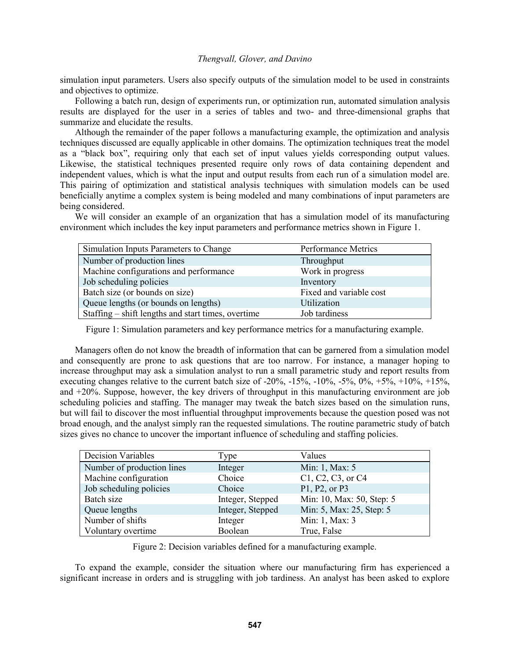simulation input parameters. Users also specify outputs of the simulation model to be used in constraints and objectives to optimize.

Following a batch run, design of experiments run, or optimization run, automated simulation analysis results are displayed for the user in a series of tables and two- and three-dimensional graphs that summarize and elucidate the results.

Although the remainder of the paper follows a manufacturing example, the optimization and analysis techniques discussed are equally applicable in other domains. The optimization techniques treat the model as a "black box", requiring only that each set of input values yields corresponding output values. Likewise, the statistical techniques presented require only rows of data containing dependent and independent values, which is what the input and output results from each run of a simulation model are. This pairing of optimization and statistical analysis techniques with simulation models can be used beneficially anytime a complex system is being modeled and many combinations of input parameters are being considered.

We will consider an example of an organization that has a simulation model of its manufacturing environment which includes the key input parameters and performance metrics shown in Figure 1.

| Simulation Inputs Parameters to Change             | Performance Metrics     |
|----------------------------------------------------|-------------------------|
| Number of production lines                         | Throughput              |
| Machine configurations and performance             | Work in progress        |
| Job scheduling policies                            | Inventory               |
| Batch size (or bounds on size)                     | Fixed and variable cost |
| Queue lengths (or bounds on lengths)               | Utilization             |
| Staffing – shift lengths and start times, overtime | Job tardiness           |

Figure 1: Simulation parameters and key performance metrics for a manufacturing example.

Managers often do not know the breadth of information that can be garnered from a simulation model and consequently are prone to ask questions that are too narrow. For instance, a manager hoping to increase throughput may ask a simulation analyst to run a small parametric study and report results from executing changes relative to the current batch size of  $-20\%$ ,  $-15\%$ ,  $-10\%$ ,  $-5\%$ ,  $0\%$ ,  $+5\%$ ,  $+10\%$ ,  $+15\%$ , and +20%. Suppose, however, the key drivers of throughput in this manufacturing environment are job scheduling policies and staffing. The manager may tweak the batch sizes based on the simulation runs, but will fail to discover the most influential throughput improvements because the question posed was not broad enough, and the analyst simply ran the requested simulations. The routine parametric study of batch sizes gives no chance to uncover the important influence of scheduling and staffing policies.

| <b>Decision Variables</b>  | Type             | Values                    |
|----------------------------|------------------|---------------------------|
| Number of production lines | Integer          | Min: 1, Max: 5            |
| Machine configuration      | Choice           | C1, C2, C3, or C4         |
| Job scheduling policies    | Choice           | P1, P2, or P3             |
| Batch size                 | Integer, Stepped | Min: 10, Max: 50, Step: 5 |
| Queue lengths              | Integer, Stepped | Min: 5, Max: 25, Step: 5  |
| Number of shifts           | Integer          | Min: 1, Max: 3            |
| Voluntary overtime         | Boolean          | True, False               |

Figure 2: Decision variables defined for a manufacturing example.

To expand the example, consider the situation where our manufacturing firm has experienced a significant increase in orders and is struggling with job tardiness. An analyst has been asked to explore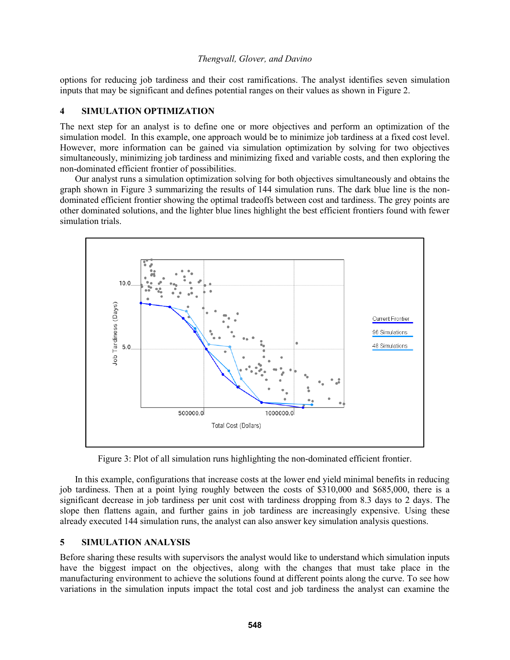options for reducing job tardiness and their cost ramifications. The analyst identifies seven simulation inputs that may be significant and defines potential ranges on their values as shown in Figure 2.

### **4 SIMULATION OPTIMIZATION**

The next step for an analyst is to define one or more objectives and perform an optimization of the simulation model. In this example, one approach would be to minimize job tardiness at a fixed cost level. However, more information can be gained via simulation optimization by solving for two objectives simultaneously, minimizing job tardiness and minimizing fixed and variable costs, and then exploring the non-dominated efficient frontier of possibilities.

Our analyst runs a simulation optimization solving for both objectives simultaneously and obtains the graph shown in Figure 3 summarizing the results of 144 simulation runs. The dark blue line is the nondominated efficient frontier showing the optimal tradeoffs between cost and tardiness. The grey points are other dominated solutions, and the lighter blue lines highlight the best efficient frontiers found with fewer simulation trials.



Figure 3: Plot of all simulation runs highlighting the non-dominated efficient frontier.

In this example, configurations that increase costs at the lower end yield minimal benefits in reducing job tardiness. Then at a point lying roughly between the costs of \$310,000 and \$685,000, there is a significant decrease in job tardiness per unit cost with tardiness dropping from 8.3 days to 2 days. The slope then flattens again, and further gains in job tardiness are increasingly expensive. Using these already executed 144 simulation runs, the analyst can also answer key simulation analysis questions.

### **5 SIMULATION ANALYSIS**

Before sharing these results with supervisors the analyst would like to understand which simulation inputs have the biggest impact on the objectives, along with the changes that must take place in the manufacturing environment to achieve the solutions found at different points along the curve. To see how variations in the simulation inputs impact the total cost and job tardiness the analyst can examine the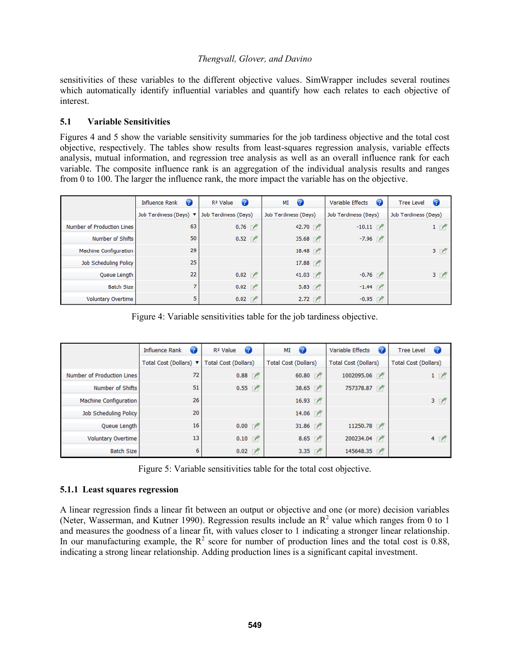sensitivities of these variables to the different objective values. SimWrapper includes several routines which automatically identify influential variables and quantify how each relates to each objective of interest.

# **5.1 Variable Sensitivities**

Figures 4 and 5 show the variable sensitivity summaries for the job tardiness objective and the total cost objective, respectively. The tables show results from least-squares regression analysis, variable effects analysis, mutual information, and regression tree analysis as well as an overall influence rank for each variable. The composite influence rank is an aggregation of the individual analysis results and ranges from 0 to 100. The larger the influence rank, the more impact the variable has on the objective.

|                              | $\bullet$<br><b>Influence Rank</b>        | - 2<br>R <sup>2</sup> Value | $\bullet$<br>МI        | Variable Effects<br>$\mathbf{P}$ | Ø<br><b>Tree Level</b> |
|------------------------------|-------------------------------------------|-----------------------------|------------------------|----------------------------------|------------------------|
|                              | Job Tardiness (Days) $\blacktriangledown$ | Job Tardiness (Days)        | Job Tardiness (Days)   | Job Tardiness (Days)             | Job Tardiness (Days)   |
| Number of Production Lines   | 63                                        | 0.76                        | 42.70                  | $-10.11$                         | $1 \nightharpoonup$    |
| Number of Shifts             | 50                                        | 0.52                        | $35.68$ $\blacksquare$ | $-7.96$                          |                        |
| <b>Machine Configuration</b> | 29                                        |                             | 18.48                  |                                  | 3 <sup>7</sup>         |
| Job Scheduling Policy        | 25                                        |                             | 17.88                  |                                  |                        |
| Queue Length                 | 22                                        | 0.02                        | 41.03 $\blacksquare$   | $-0.76$                          | 3 <sup>7</sup>         |
| <b>Batch Size</b>            |                                           | 0.02                        | 5.83                   | $-1.44$                          |                        |
| <b>Voluntary Overtime</b>    | 5                                         | 0.02                        | 2.72                   | $-0.95$                          |                        |

Figure 4: Variable sensitivities table for the job tardiness objective.

|                              | Influence Rank<br>$\bullet$ | $\bullet$<br>R <sup>2</sup> Value | $\mathbf{C}$<br>MI          | Variable Effects<br>(?      | $\mathbf G$<br><b>Tree Level</b> |
|------------------------------|-----------------------------|-----------------------------------|-----------------------------|-----------------------------|----------------------------------|
|                              | Total Cost (Dollars) ▼      | <b>Total Cost (Dollars)</b>       | <b>Total Cost (Dollars)</b> | <b>Total Cost (Dollars)</b> | <b>Total Cost (Dollars)</b>      |
| Number of Production Lines   | 72                          | 0.88                              | 60.80                       | 1002095.06                  | $1 / \sqrt{2}$                   |
| Number of Shifts             | 51                          | 0.55                              | 38.65                       | 757378.87                   |                                  |
| <b>Machine Configuration</b> | 26                          |                                   | 16.93                       |                             | 3 <sub>7</sub>                   |
| Job Scheduling Policy        | 20                          |                                   | $14.06$ $\blacksquare$      |                             |                                  |
| Queue Length                 | 16                          | 0.00                              | 31.86                       | 11250.78                    |                                  |
| <b>Voluntary Overtime</b>    | 13                          | 0.10                              | 8.65                        | 200234.04                   | 4 <sup>7</sup>                   |
| <b>Batch Size</b>            | 6                           | 0.02                              | 3.35                        | 145648.35                   |                                  |

Figure 5: Variable sensitivities table for the total cost objective.

### **5.1.1 Least squares regression**

A linear regression finds a linear fit between an output or objective and one (or more) decision variables (Neter, Wasserman, and Kutner 1990). Regression results include an  $\mathbb{R}^2$  value which ranges from 0 to 1 and measures the goodness of a linear fit, with values closer to 1 indicating a stronger linear relationship. In our manufacturing example, the  $R^2$  score for number of production lines and the total cost is 0.88, indicating a strong linear relationship. Adding production lines is a significant capital investment.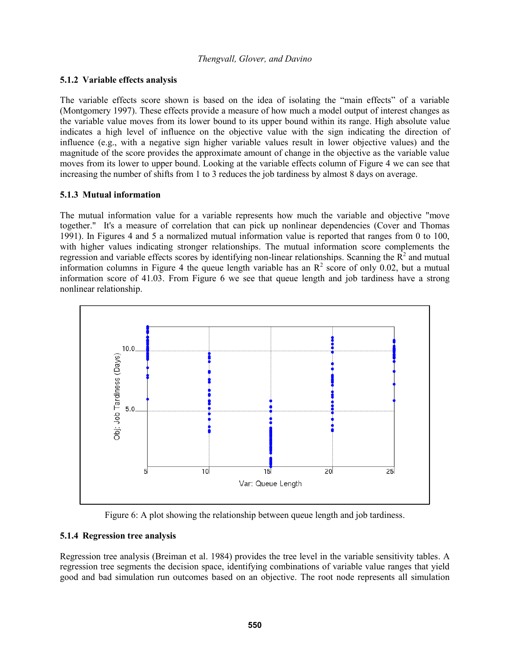## **5.1.2 Variable effects analysis**

The variable effects score shown is based on the idea of isolating the "main effects" of a variable (Montgomery 1997). These effects provide a measure of how much a model output of interest changes as the variable value moves from its lower bound to its upper bound within its range. High absolute value indicates a high level of influence on the objective value with the sign indicating the direction of influence (e.g., with a negative sign higher variable values result in lower objective values) and the magnitude of the score provides the approximate amount of change in the objective as the variable value moves from its lower to upper bound. Looking at the variable effects column of Figure 4 we can see that increasing the number of shifts from 1 to 3 reduces the job tardiness by almost 8 days on average.

## **5.1.3 Mutual information**

The mutual information value for a variable represents how much the variable and objective "move together." It's a measure of correlation that can pick up nonlinear dependencies (Cover and Thomas 1991). In Figures 4 and 5 a normalized mutual information value is reported that ranges from 0 to 100, with higher values indicating stronger relationships. The mutual information score complements the regression and variable effects scores by identifying non-linear relationships. Scanning the  $\overline{R}^2$  and mutual information columns in Figure 4 the queue length variable has an  $\mathbb{R}^2$  score of only 0.02, but a mutual information score of 41.03. From Figure 6 we see that queue length and job tardiness have a strong nonlinear relationship.



Figure 6: A plot showing the relationship between queue length and job tardiness.

# **5.1.4 Regression tree analysis**

Regression tree analysis (Breiman et al. 1984) provides the tree level in the variable sensitivity tables. A regression tree segments the decision space, identifying combinations of variable value ranges that yield good and bad simulation run outcomes based on an objective. The root node represents all simulation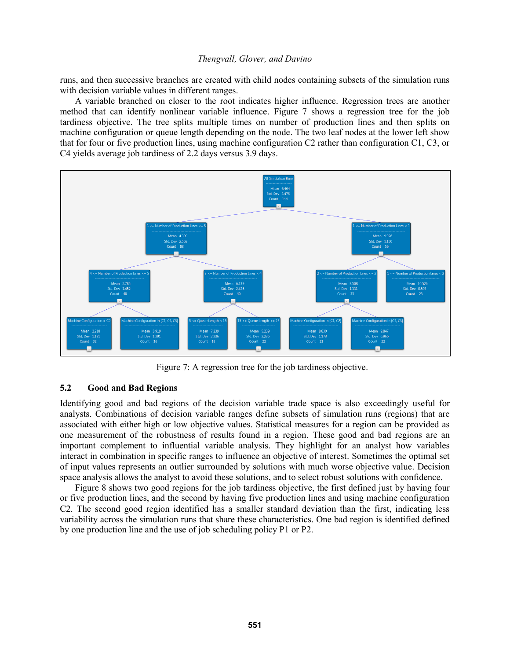runs, and then successive branches are created with child nodes containing subsets of the simulation runs with decision variable values in different ranges.

A variable branched on closer to the root indicates higher influence. Regression trees are another method that can identify nonlinear variable influence. Figure 7 shows a regression tree for the job tardiness objective. The tree splits multiple times on number of production lines and then splits on machine configuration or queue length depending on the node. The two leaf nodes at the lower left show that for four or five production lines, using machine configuration C2 rather than configuration C1, C3, or C4 yields average job tardiness of 2.2 days versus 3.9 days.



Figure 7: A regression tree for the job tardiness objective.

### **5.2 Good and Bad Regions**

Identifying good and bad regions of the decision variable trade space is also exceedingly useful for analysts. Combinations of decision variable ranges define subsets of simulation runs (regions) that are associated with either high or low objective values. Statistical measures for a region can be provided as one measurement of the robustness of results found in a region. These good and bad regions are an important complement to influential variable analysis. They highlight for an analyst how variables interact in combination in specific ranges to influence an objective of interest. Sometimes the optimal set of input values represents an outlier surrounded by solutions with much worse objective value. Decision space analysis allows the analyst to avoid these solutions, and to select robust solutions with confidence.

Figure 8 shows two good regions for the job tardiness objective, the first defined just by having four or five production lines, and the second by having five production lines and using machine configuration C2. The second good region identified has a smaller standard deviation than the first, indicating less variability across the simulation runs that share these characteristics. One bad region is identified defined by one production line and the use of job scheduling policy P1 or P2.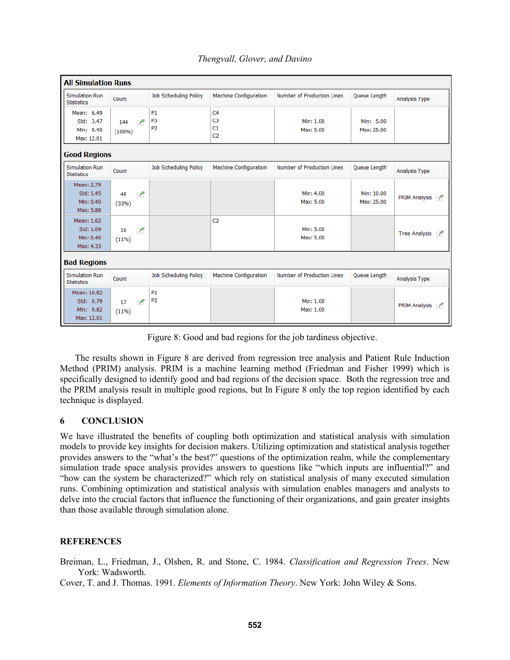| <b>All Simulation Runs</b>                          |                                            |                                               |                                                          |                            |                          |                                        |  |
|-----------------------------------------------------|--------------------------------------------|-----------------------------------------------|----------------------------------------------------------|----------------------------|--------------------------|----------------------------------------|--|
| <b>Simulation Run</b><br><b>Statistics</b>          | Count                                      | Job Scheduling Policy                         | <b>Machine Configuration</b>                             | Number of Production Lines | Queue Length             | Analysis Type                          |  |
| Mean: 6.49<br>Std: 3.47<br>Min: 0.40<br>Max: 12.01  | $\overline{ }$<br>144<br>$(100\%)$         | <b>P1</b><br>P <sub>3</sub><br>P <sub>2</sub> | C <sub>4</sub><br>C <sub>3</sub><br>C1<br>C <sub>2</sub> | Min: 1.00<br>Max: 5.00     | Min: 5.00<br>Max: 25.00  |                                        |  |
| <b>Good Regions</b>                                 |                                            |                                               |                                                          |                            |                          |                                        |  |
| <b>Simulation Run</b><br><b>Statistics</b>          | Count                                      | Job Scheduling Policy                         | Machine Configuration                                    | Number of Production Lines | Queue Length             | Analysis Type                          |  |
| Mean: 2.79<br>Std: 1.45<br>Min: 0.40<br>Max: 5.88   | 48<br>$\overline{\phantom{a}}$<br>(33%)    |                                               |                                                          | Min: 4.00<br>Max: 5.00     | Min: 10.00<br>Max: 25.00 | <b>PRIM Analysis</b><br>$\overline{ }$ |  |
| Mean: 1.62<br>Std: 1.09<br>Min: 0.40<br>Max: 4.33   | 16<br>$\overline{ }$<br>$(11\%)$           |                                               | C <sub>2</sub>                                           | Min: 5.00<br>Max: 5.00     |                          | <b>Tree Analysis</b><br>$\sqrt{ }$     |  |
| <b>Bad Regions</b>                                  |                                            |                                               |                                                          |                            |                          |                                        |  |
| <b>Simulation Run</b><br><b>Statistics</b>          | Count                                      | Job Scheduling Policy                         | Machine Configuration                                    | Number of Production Lines | Queue Length             | Analysis Type                          |  |
| Mean: 10.82<br>Std: 0.79<br>Min: 9.82<br>Max: 12.01 | $\overline{\phantom{a}}$<br>17<br>$(11\%)$ | <b>P1</b><br>P <sub>2</sub>                   |                                                          | Min: 1.00<br>Max: 1.00     |                          | <b>PRIM Analysis</b><br>$\sqrt{2}$     |  |

Figure 8: Good and bad regions for the job tardiness objective.

The results shown in Figure 8 are derived from regression tree analysis and Patient Rule Induction Method (PRIM) analysis. PRIM is a machine learning method (Friedman and Fisher 1999) which is specifically designed to identify good and bad regions of the decision space. Both the regression tree and the PRIM analysis result in multiple good regions, but In Figure 8 only the top region identified by each technique is displayed.

### **6 CONCLUSION**

We have illustrated the benefits of coupling both optimization and statistical analysis with simulation models to provide key insights for decision makers. Utilizing optimization and statistical analysis together provides answers to the "what's the best?" questions of the optimization realm, while the complementary simulation trade space analysis provides answers to questions like "which inputs are influential?" and "how can the system be characterized?" which rely on statistical analysis of many executed simulation runs. Combining optimization and statistical analysis with simulation enables managers and analysts to delve into the crucial factors that influence the functioning of their organizations, and gain greater insights than those available through simulation alone.

### **REFERENCES**

Breiman, L., Friedman, J., Olshen, R. and Stone, C. 1984. *Classification and Regression Trees*. New York: Wadsworth.

Cover, T. and J. Thomas. 1991. *Elements of Information Theory*. New York: John Wiley & Sons.